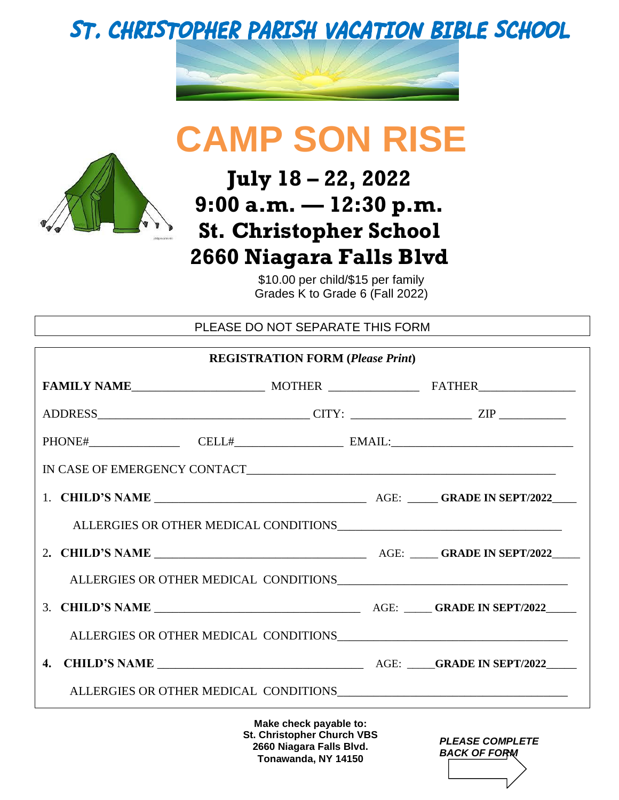## **ST. CHRISTOPHER PARISH VACATION BIBLE SCHOOL**



# **CAMP SON RISE**



### **July 18 – 22, 2022 9:00 a.m. — 12:30 p.m. St. Christopher School 2660 Niagara Falls Blvd**

\$10.00 per child/\$15 per family Grades K to Grade 6 (Fall 2022)

PLEASE DO NOT SEPARATE THIS FORM

| <b>REGISTRATION FORM (Please Print)</b> |                        |  |  |  |
|-----------------------------------------|------------------------|--|--|--|
|                                         |                        |  |  |  |
|                                         |                        |  |  |  |
|                                         |                        |  |  |  |
| $IN CASE OF EMERGENCY CONTACT_\_\_$     |                        |  |  |  |
|                                         |                        |  |  |  |
|                                         |                        |  |  |  |
|                                         |                        |  |  |  |
|                                         |                        |  |  |  |
|                                         |                        |  |  |  |
|                                         |                        |  |  |  |
|                                         |                        |  |  |  |
|                                         |                        |  |  |  |
|                                         | Make check navable to: |  |  |  |

**Make check payable to: St. Christopher Church VBS 2660 Niagara Falls Blvd. Tonawanda, NY 14150**

| <b>PLEASE COMPLETE</b><br><b>BACK OF FORM</b> |
|-----------------------------------------------|
|                                               |